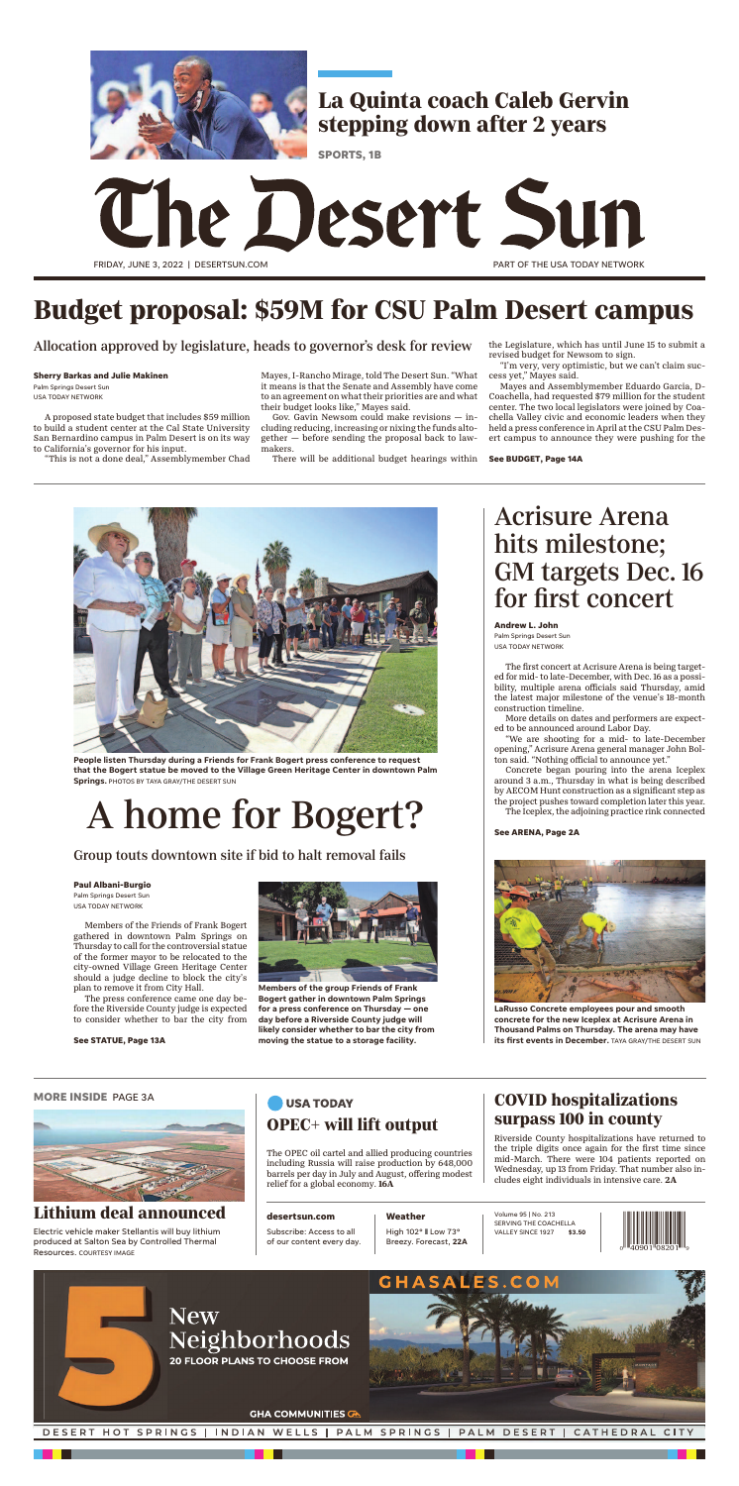# The Desert Sun FRIDAY, JUNE 3, 2022 | DESERTSUN.COM PART OF THE USA TODAY NETWORK

Volume 95 | No. 213 SERVING THE COACHELLA VALLEY SINCE 1927 **\$3.50**

**Weather**

High 102° ❚ Low 73° Breezy. Forecast, **22A**

### **desertsun.com**

Subscribe: Access to all of our content every day. Riverside County hospitalizations have returned to the triple digits once again for the first time since mid-March. There were 104 patients reported on Wednesday, up 13 from Friday. That number also includes eight individuals in intensive care. 2A

## **USA TODAY OPEC+ will lift output**

## **COVID hospitalizations surpass 100 in county**

### **MORE INSIDE** PAGE 3A



Electric vehicle maker Stellantis will buy lithium produced at Salton Sea by Controlled Thermal Resources. COURTESY IMAGE

## **Lithium deal announced**

The OPEC oil cartel and allied producing countries including Russia will raise production by 648,000 barrels per day in July and August, offering modest relief for a global economy. 16A





A proposed state budget that includes \$59 million to build a student center at the Cal State University San Bernardino campus in Palm Desert is on its way to California's governor for his input.

"This is not a done deal," Assemblymember Chad

Mayes, I-Rancho Mirage, told The Desert Sun. "What it means is that the Senate and Assembly have come to an agreement on what their priorities are and what their budget looks like," Mayes said.

Gov. Gavin Newsom could make revisions — including reducing, increasing or nixing the funds altogether — before sending the proposal back to lawmakers.

There will be additional budget hearings within

the Legislature, which has until June 15 to submit a revised budget for Newsom to sign.

"I'm very, very optimistic, but we can't claim success yet," Mayes said.

Mayes and Assemblymember Eduardo Garcia, D-Coachella, had requested \$79 million for the student center. The two local legislators were joined by Coachella Valley civic and economic leaders when they held a press conference in April at the CSU Palm Desert campus to announce they were pushing for the

## **Budget proposal: \$59M for CSU Palm Desert campus**

Allocation approved by legislature, heads to governor's desk for review

**Sherry Barkas and Julie Makinen**

Palm Springs Desert Sun USA TODAY NETWORK

**See BUDGET, Page 14A**

Members of the Friends of Frank Bogert gathered in downtown Palm Springs on Thursday to call for the controversial statue of the former mayor to be relocated to the city-owned Village Green Heritage Center should a judge decline to block the city's plan to remove it from City Hall.

The press conference came one day before the Riverside County judge is expected to consider whether to bar the city from



**People listen Thursday during a Friends for Frank Bogert press conference to request that the Bogert statue be moved to the Village Green Heritage Center in downtown Palm Springs.** PHOTOS BY TAYA GRAY/THE DESERT SUN

## A home for Bogert?

## Group touts downtown site if bid to halt removal fails

#### **Paul Albani-Burgio**

Palm Springs Desert Sun USA TODAY NETWORK

#### **See STATUE, Page 13A**



**Members of the group Friends of Frank Bogert gather in downtown Palm Springs for a press conference on Thursday — one day before a Riverside County judge will likely consider whether to bar the city from moving the statue to a storage facility.** 

The first concert at Acrisure Arena is being targeted for mid- to late-December, with Dec. 16 as a possibility, multiple arena officials said Thursday, amid the latest major milestone of the venue's 18-month construction timeline.

More details on dates and performers are expected to be announced around Labor Day.

"We are shooting for a mid- to late-December opening," Acrisure Arena general manager John Bolton said. "Nothing official to announce yet."

Concrete began pouring into the arena Iceplex around 3 a.m., Thursday in what is being described by AECOM Hunt construction as a significant step as the project pushes toward completion later this year.

The Iceplex, the adjoining practice rink connected

## Acrisure Arena hits milestone; GM targets Dec. 16 for first concert

**Andrew L. John**

Palm Springs Desert Sun USA TODAY NETWORK



**LaRusso Concrete employees pour and smooth concrete for the new Iceplex at Acrisure Arena in Thousand Palms on Thursday. The arena may have its first events in December.** TAYA GRAY/THE DESERT SUN

### **See ARENA, Page 2A**



## **La Quinta coach Caleb Gervin stepping down after 2 years**

**SPORTS, 1B**